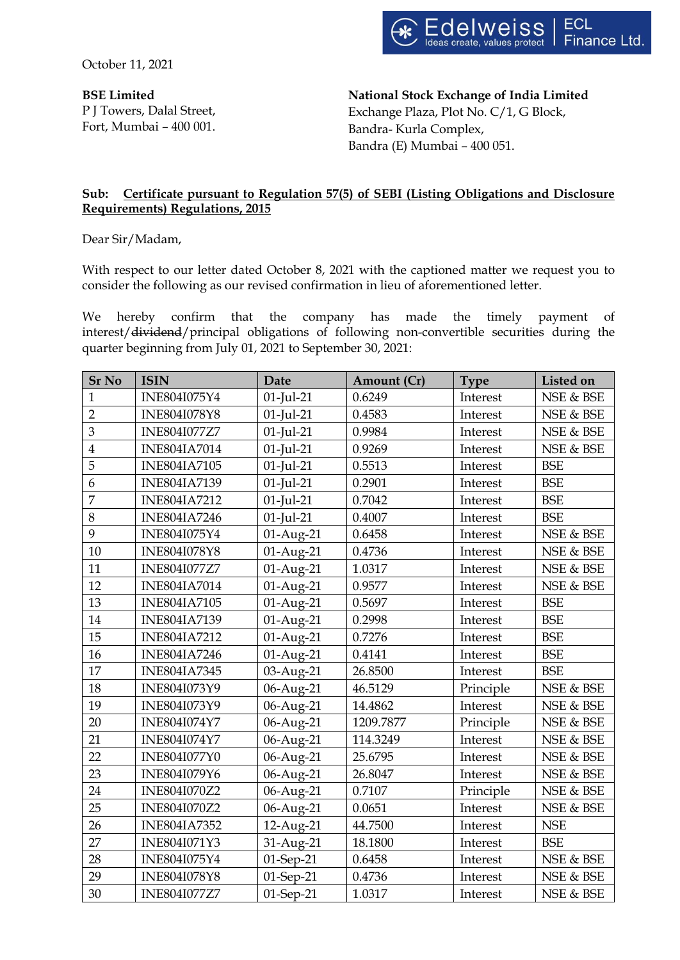October 11, 2021

**BSE Limited** P J Towers, Dalal Street, Fort, Mumbai – 400 001. **National Stock Exchange of India Limited** Exchange Plaza, Plot No. C/1, G Block, Bandra- Kurla Complex, Bandra (E) Mumbai – 400 051.

# **Sub: Certificate pursuant to Regulation 57(5) of SEBI (Listing Obligations and Disclosure Requirements) Regulations, 2015**

Dear Sir/Madam,

With respect to our letter dated October 8, 2021 with the captioned matter we request you to consider the following as our revised confirmation in lieu of aforementioned letter.

We hereby confirm that the company has made the timely payment of interest/dividend/principal obligations of following non-convertible securities during the quarter beginning from July 01, 2021 to September 30, 2021:

| <b>Sr No</b>            | <b>ISIN</b>         | Date         | Amount (Cr) | <b>Type</b> | Listed on  |
|-------------------------|---------------------|--------------|-------------|-------------|------------|
| $\mathbf{1}$            | INE804I075Y4        | $01$ -Jul-21 | 0.6249      | Interest    | NSE & BSE  |
| $\overline{2}$          | <b>INE804I078Y8</b> | $01$ -Jul-21 | 0.4583      | Interest    | NSE & BSE  |
| 3                       | <b>INE804I077Z7</b> | $01$ -Jul-21 | 0.9984      | Interest    | NSE & BSE  |
| $\overline{\mathbf{4}}$ | <b>INE804IA7014</b> | $01$ -Jul-21 | 0.9269      | Interest    | NSE & BSE  |
| 5                       | <b>INE804IA7105</b> | $01$ -Jul-21 | 0.5513      | Interest    | <b>BSE</b> |
| 6                       | <b>INE804IA7139</b> | $01$ -Jul-21 | 0.2901      | Interest    | <b>BSE</b> |
| $\overline{7}$          | <b>INE804IA7212</b> | $01$ -Jul-21 | 0.7042      | Interest    | <b>BSE</b> |
| 8                       | <b>INE804IA7246</b> | $01$ -Jul-21 | 0.4007      | Interest    | <b>BSE</b> |
| 9                       | INE804I075Y4        | 01-Aug-21    | 0.6458      | Interest    | NSE & BSE  |
| 10                      | <b>INE804I078Y8</b> | 01-Aug-21    | 0.4736      | Interest    | NSE & BSE  |
| 11                      | <b>INE804I077Z7</b> | 01-Aug-21    | 1.0317      | Interest    | NSE & BSE  |
| 12                      | <b>INE804IA7014</b> | 01-Aug-21    | 0.9577      | Interest    | NSE & BSE  |
| 13                      | <b>INE804IA7105</b> | 01-Aug-21    | 0.5697      | Interest    | <b>BSE</b> |
| 14                      | <b>INE804IA7139</b> | 01-Aug-21    | 0.2998      | Interest    | <b>BSE</b> |
| 15                      | <b>INE804IA7212</b> | 01-Aug-21    | 0.7276      | Interest    | <b>BSE</b> |
| 16                      | <b>INE804IA7246</b> | 01-Aug-21    | 0.4141      | Interest    | <b>BSE</b> |
| 17                      | <b>INE804IA7345</b> | 03-Aug-21    | 26.8500     | Interest    | <b>BSE</b> |
| 18                      | INE804I073Y9        | 06-Aug-21    | 46.5129     | Principle   | NSE & BSE  |
| 19                      | INE804I073Y9        | 06-Aug-21    | 14.4862     | Interest    | NSE & BSE  |
| 20                      | INE804I074Y7        | 06-Aug-21    | 1209.7877   | Principle   | NSE & BSE  |
| 21                      | INE804I074Y7        | 06-Aug-21    | 114.3249    | Interest    | NSE & BSE  |
| 22                      | <b>INE804I077Y0</b> | 06-Aug-21    | 25.6795     | Interest    | NSE & BSE  |
| 23                      | INE804I079Y6        | 06-Aug-21    | 26.8047     | Interest    | NSE & BSE  |
| 24                      | INE804I070Z2        | 06-Aug-21    | 0.7107      | Principle   | NSE & BSE  |
| 25                      | INE804I070Z2        | 06-Aug-21    | 0.0651      | Interest    | NSE & BSE  |
| 26                      | <b>INE804IA7352</b> | 12-Aug-21    | 44.7500     | Interest    | <b>NSE</b> |
| 27                      | INE804I071Y3        | 31-Aug-21    | 18.1800     | Interest    | <b>BSE</b> |
| 28                      | INE804I075Y4        | 01-Sep-21    | 0.6458      | Interest    | NSE & BSE  |
| 29                      | <b>INE804I078Y8</b> | 01-Sep-21    | 0.4736      | Interest    | NSE & BSE  |
| 30                      | <b>INE804I077Z7</b> | 01-Sep-21    | 1.0317      | Interest    | NSE & BSE  |